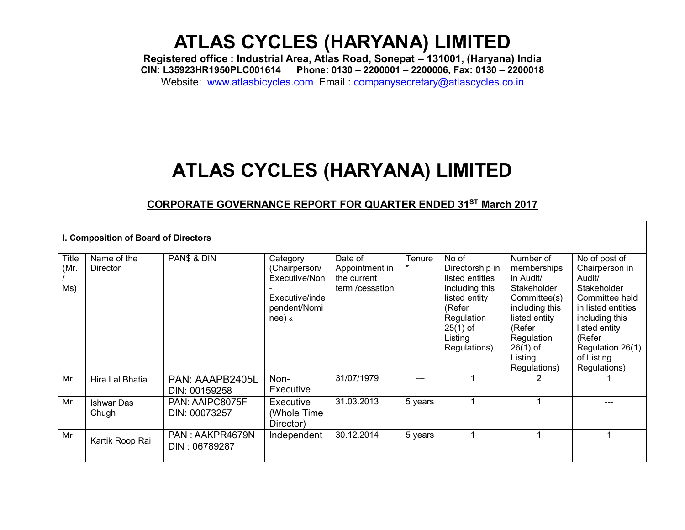**Registered office : Industrial Area, Atlas Road, Sonepat – 131001, (Haryana) India CIN: L35923HR1950PLC001614 Phone: 0130 – 2200001 – 2200006, Fax: 0130 – 2200018** Website: [www.atlasbicycles.com](http://www.atlasbicycles.com/) Email : [companysecretary@atlascycles.co.in](mailto:companysecretary@atlascycles.co.in)

### **ATLAS CYCLES (HARYANA) LIMITED**

### **CORPORATE GOVERNANCE REPORT FOR QUARTER ENDED 31ST March 2017**

|                      | I. Composition of Board of Directors |                                  |                                                                                          |                                                             |                   |                                                                                                                                                 |                                                                                                                                                                          |                                                                                                                                                                                                 |
|----------------------|--------------------------------------|----------------------------------|------------------------------------------------------------------------------------------|-------------------------------------------------------------|-------------------|-------------------------------------------------------------------------------------------------------------------------------------------------|--------------------------------------------------------------------------------------------------------------------------------------------------------------------------|-------------------------------------------------------------------------------------------------------------------------------------------------------------------------------------------------|
| Title<br>(Mr.<br>Ms) | Name of the<br><b>Director</b>       | PAN\$ & DIN                      | Category<br>(Chairperson/<br>Executive/Non<br>Executive/inde<br>pendent/Nomi<br>$nee)$ & | Date of<br>Appointment in<br>the current<br>term /cessation | Tenure<br>$\star$ | No of<br>Directorship in<br>listed entities<br>including this<br>listed entity<br>(Refer<br>Regulation<br>$25(1)$ of<br>Listing<br>Regulations) | Number of<br>memberships<br>in Audit/<br>Stakeholder<br>Committee(s)<br>including this<br>listed entity<br>(Refer<br>Regulation<br>$26(1)$ of<br>Listing<br>Regulations) | No of post of<br>Chairperson in<br>Audit/<br>Stakeholder<br>Committee held<br>in listed entities<br>including this<br>listed entity<br>(Refer<br>Regulation 26(1)<br>of Listing<br>Regulations) |
| Mr.                  | Hira Lal Bhatia                      | PAN: AAAPB2405L<br>DIN: 00159258 | Non-<br>Executive                                                                        | 31/07/1979                                                  | ---               |                                                                                                                                                 | 2                                                                                                                                                                        |                                                                                                                                                                                                 |
| Mr.                  | <b>Ishwar Das</b><br>Chugh           | PAN: AAIPC8075F<br>DIN: 00073257 | Executive<br>(Whole Time<br>Director)                                                    | 31.03.2013                                                  | 5 years           |                                                                                                                                                 |                                                                                                                                                                          |                                                                                                                                                                                                 |
| Mr.                  | Kartik Roop Rai                      | PAN: AAKPR4679N<br>DIN: 06789287 | Independent                                                                              | 30.12.2014                                                  | 5 years           |                                                                                                                                                 |                                                                                                                                                                          | 1                                                                                                                                                                                               |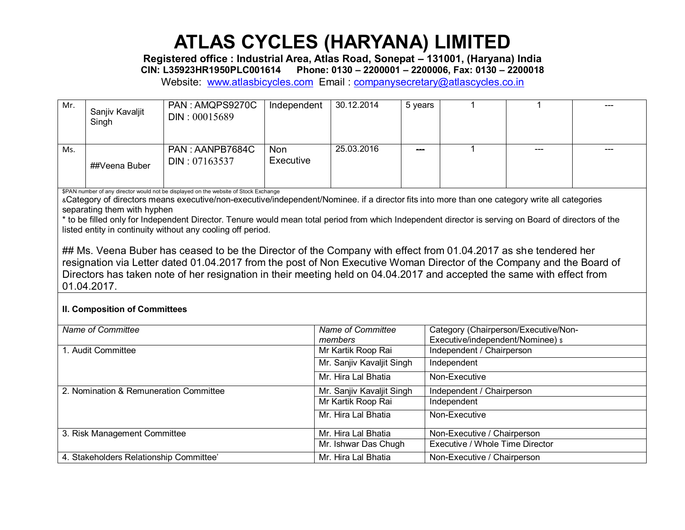**Registered office : Industrial Area, Atlas Road, Sonepat – 131001, (Haryana) India CIN: L35923HR1950PLC001614 Phone: 0130 – 2200001 – 2200006, Fax: 0130 – 2200018**

Website: [www.atlasbicycles.com](http://www.atlasbicycles.com/) Email : [companysecretary@atlascycles.co.in](mailto:companysecretary@atlascycles.co.in)

| Mr. | Sanjiv Kavaljit<br>Singh | PAN: AMQPS9270C<br>DIN: 00015689 | Independent      | 30.12.2014 | 5 years |     | $\frac{1}{2}$ |
|-----|--------------------------|----------------------------------|------------------|------------|---------|-----|---------------|
| Ms. | ##Veena Buber            | PAN: AANPB7684C<br>DIN: 07163537 | Non<br>Executive | 25.03.2016 |         | --- | $---$         |

\$PAN number of any director would not be displayed on the website of Stock Exchange

&Category of directors means executive/non-executive/independent/Nominee. if a director fits into more than one category write all categories separating them with hyphen

\* to be filled only for Independent Director. Tenure would mean total period from which Independent director is serving on Board of directors of the listed entity in continuity without any cooling off period.

## Ms. Veena Buber has ceased to be the Director of the Company with effect from 01.04.2017 as she tendered her resignation via Letter dated 01.04.2017 from the post of Non Executive Woman Director of the Company and the Board of Directors has taken note of her resignation in their meeting held on 04.04.2017 and accepted the same with effect from 01.04.2017.

#### **II. Composition of Committees**

| Name of Committee                       | Name of Committee         | Category (Chairperson/Executive/Non- |
|-----------------------------------------|---------------------------|--------------------------------------|
|                                         | members                   | Executive/independent/Nominee) \$    |
| 1. Audit Committee                      | Mr Kartik Roop Rai        | Independent / Chairperson            |
|                                         | Mr. Sanjiv Kavaljit Singh | Independent                          |
|                                         | Mr. Hira Lal Bhatia       | Non-Executive                        |
| 2. Nomination & Remuneration Committee  | Mr. Sanjiv Kavaljit Singh | Independent / Chairperson            |
|                                         | Mr Kartik Roop Rai        | Independent                          |
|                                         | Mr. Hira Lal Bhatia       | Non-Executive                        |
| 3. Risk Management Committee            | Mr. Hira Lal Bhatia       | Non-Executive / Chairperson          |
|                                         | Mr. Ishwar Das Chugh      | Executive / Whole Time Director      |
| 4. Stakeholders Relationship Committee' | Mr. Hira Lal Bhatia       | Non-Executive / Chairperson          |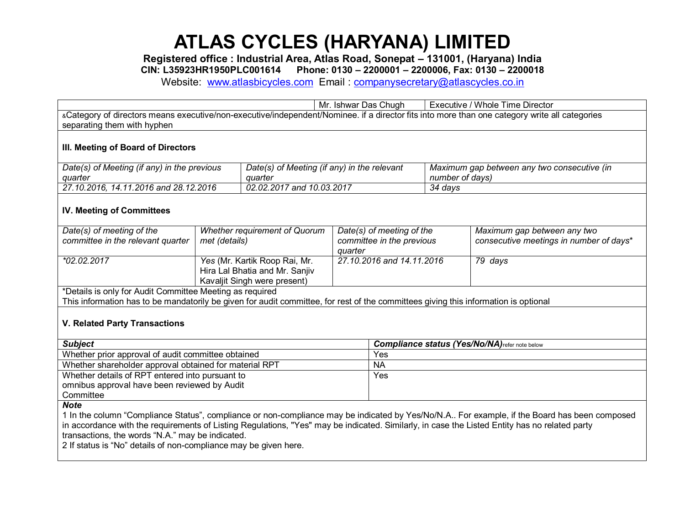**Registered office : Industrial Area, Atlas Road, Sonepat – 131001, (Haryana) India**

**CIN: L35923HR1950PLC001614 Phone: 0130 – 2200001 – 2200006, Fax: 0130 – 2200018**

Website: [www.atlasbicycles.com](http://www.atlasbicycles.com/) Email : [companysecretary@atlascycles.co.in](mailto:companysecretary@atlascycles.co.in)

Mr. Ishwar Das Chugh | Executive / Whole Time Director &Category of directors means executive/non-executive/independent/Nominee. if a director fits into more than one category write all categories separating them with hyphen **III. Meeting of Board of Directors** 

| Date(s) of Meeting (if any) in the previous | Date(s) of Meeting (if any) in the relevant | Maximum gap between any two consecutive (in |
|---------------------------------------------|---------------------------------------------|---------------------------------------------|
| quarter                                     | auarter                                     | number of days)                             |
| 27.10.2016, 14.11.2016 and 28.12.2016       | 02.02.2017 and 10.03.2017                   | 34 days                                     |

#### **IV. Meeting of Committees**

| Date(s) of meeting of the<br>committee in the relevant quarter                                                                      | <b>Whether requirement of Quorum</b><br>met (details)                                           | Date(s) of meeting of the<br>committee in the previous<br>auarter | Maximum gap between any two<br>consecutive meetings in number of days* |  |  |  |
|-------------------------------------------------------------------------------------------------------------------------------------|-------------------------------------------------------------------------------------------------|-------------------------------------------------------------------|------------------------------------------------------------------------|--|--|--|
| *02.02.2017                                                                                                                         | Yes (Mr. Kartik Roop Rai, Mr.<br>Hira Lal Bhatia and Mr. Sanjiv<br>Kavaljit Singh were present) | 27.10.2016 and 14.11.2016                                         | 79 days                                                                |  |  |  |
| *Details is only for Audit Committee Meeting as required                                                                            |                                                                                                 |                                                                   |                                                                        |  |  |  |
| This information has to be mandatorily be given for audit committee, for rest of the committees giving this information is optional |                                                                                                 |                                                                   |                                                                        |  |  |  |

#### **V. Related Party Transactions**

| <b>Subject</b>                                         | <b>Compliance status (Yes/No/NA)</b> refer note below |
|--------------------------------------------------------|-------------------------------------------------------|
| Whether prior approval of audit committee obtained     | Yes                                                   |
| Whether shareholder approval obtained for material RPT | <b>NA</b>                                             |
| Whether details of RPT entered into pursuant to        | Yes                                                   |
| omnibus approval have been reviewed by Audit           |                                                       |
| Committee                                              |                                                       |
|                                                        |                                                       |

*Note* 

1 In the column "Compliance Status", compliance or non-compliance may be indicated by Yes/No/N.A.. For example, if the Board has been composed in accordance with the requirements of Listing Regulations, "Yes" may be indicated. Similarly, in case the Listed Entity has no related party transactions, the words "N.A." may be indicated.

2 If status is "No" details of non-compliance may be given here.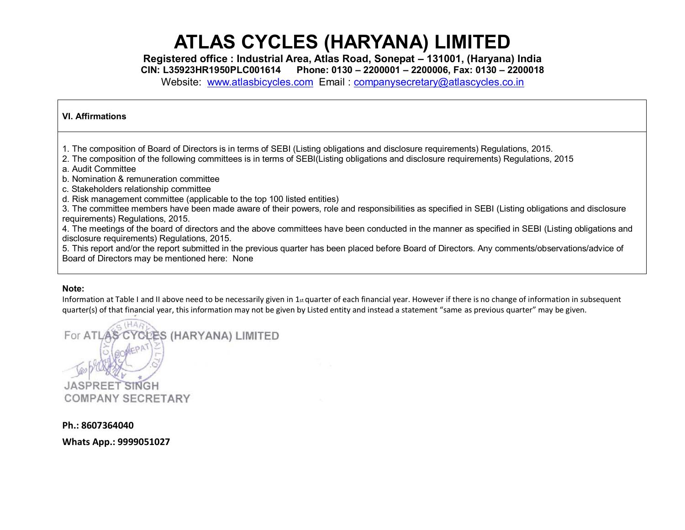**Registered office : Industrial Area, Atlas Road, Sonepat – 131001, (Haryana) India**

**CIN: L35923HR1950PLC001614 Phone: 0130 – 2200001 – 2200006, Fax: 0130 – 2200018**

Website: [www.atlasbicycles.com](http://www.atlasbicycles.com/) Email : [companysecretary@atlascycles.co.in](mailto:companysecretary@atlascycles.co.in)

#### **VI. Affirmations**

1. The composition of Board of Directors is in terms of SEBI (Listing obligations and disclosure requirements) Regulations, 2015.

- 2. The composition of the following committees is in terms of SEBI(Listing obligations and disclosure requirements) Regulations, 2015
- a. Audit Committee
- b. Nomination & remuneration committee
- c. Stakeholders relationship committee
- d. Risk management committee (applicable to the top 100 listed entities)

3. The committee members have been made aware of their powers, role and responsibilities as specified in SEBI (Listing obligations and disclosure requirements) Regulations, 2015.

4. The meetings of the board of directors and the above committees have been conducted in the manner as specified in SEBI (Listing obligations and disclosure requirements) Regulations, 2015.

5. This report and/or the report submitted in the previous quarter has been placed before Board of Directors. Any comments/observations/advice of Board of Directors may be mentioned here: None

#### **Note:**

Information at Table I and II above need to be necessarily given in  $1_{st}$  quarter of each financial year. However if there is no change of information in subsequent quarter(s) of that financial year, this information may not be given by Listed entity and instead a statement "same as previous quarter" may be given.

CLES (HARYANA) LIMITED For ATL **JASPREET** SINGH **COMPANY SECRETARY** 

**Ph.: 8607364040**

**Whats App.: 9999051027**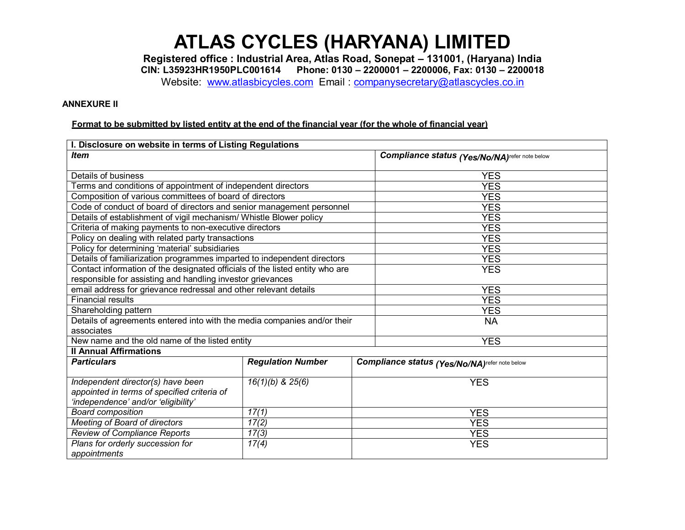**Registered office : Industrial Area, Atlas Road, Sonepat – 131001, (Haryana) India CIN: L35923HR1950PLC001614 Phone: 0130 – 2200001 – 2200006, Fax: 0130 – 2200018**

Website: [www.atlasbicycles.com](http://www.atlasbicycles.com/) Email : [companysecretary@atlascycles.co.in](mailto:companysecretary@atlascycles.co.in)

#### **ANNEXURE II**

#### **Format to be submitted by listed entity at the end of the financial year (for the whole of financial year)**

| I. Disclosure on website in terms of Listing Regulations                     |                          |                                                |                                                |  |  |
|------------------------------------------------------------------------------|--------------------------|------------------------------------------------|------------------------------------------------|--|--|
| <b>Item</b>                                                                  |                          | Compliance status (Yes/No/NA) refer note below |                                                |  |  |
| Details of business                                                          |                          |                                                |                                                |  |  |
|                                                                              |                          | <b>YES</b>                                     |                                                |  |  |
| Terms and conditions of appointment of independent directors                 |                          |                                                | <b>YES</b>                                     |  |  |
| Composition of various committees of board of directors                      |                          |                                                | <b>YES</b>                                     |  |  |
| Code of conduct of board of directors and senior management personnel        |                          | <b>YES</b>                                     |                                                |  |  |
| Details of establishment of vigil mechanism/ Whistle Blower policy           |                          |                                                | <b>YES</b>                                     |  |  |
| Criteria of making payments to non-executive directors                       |                          |                                                | <b>YES</b>                                     |  |  |
| Policy on dealing with related party transactions                            |                          |                                                | <b>YES</b>                                     |  |  |
| Policy for determining 'material' subsidiaries                               |                          |                                                | <b>YES</b>                                     |  |  |
| Details of familiarization programmes imparted to independent directors      |                          |                                                | <b>YES</b>                                     |  |  |
| Contact information of the designated officials of the listed entity who are |                          |                                                | <b>YES</b>                                     |  |  |
| responsible for assisting and handling investor grievances                   |                          |                                                |                                                |  |  |
| email address for grievance redressal and other relevant details             |                          |                                                | <b>YES</b>                                     |  |  |
| <b>Financial results</b>                                                     |                          | <b>YES</b>                                     |                                                |  |  |
| Shareholding pattern                                                         |                          |                                                | <b>YES</b>                                     |  |  |
| Details of agreements entered into with the media companies and/or their     |                          |                                                | <b>NA</b>                                      |  |  |
| associates                                                                   |                          |                                                |                                                |  |  |
| New name and the old name of the listed entity                               |                          |                                                | <b>YES</b>                                     |  |  |
| <b>Il Annual Affirmations</b>                                                |                          |                                                |                                                |  |  |
| <b>Particulars</b>                                                           | <b>Regulation Number</b> |                                                | Compliance status (Yes/No/NA) refer note below |  |  |
| Independent director(s) have been                                            | $16(1)(b)$ & $25(6)$     |                                                | <b>YES</b>                                     |  |  |
| appointed in terms of specified criteria of                                  |                          |                                                |                                                |  |  |
| 'independence' and/or 'eligibility'                                          |                          |                                                |                                                |  |  |
| <b>Board composition</b>                                                     | 17(1)                    | <b>YES</b>                                     |                                                |  |  |
| Meeting of Board of directors                                                | 17(2)                    | <b>YES</b>                                     |                                                |  |  |
| <b>Review of Compliance Reports</b>                                          | 17(3)                    | <b>YES</b>                                     |                                                |  |  |
| Plans for orderly succession for                                             | 17(4)                    | <b>YES</b>                                     |                                                |  |  |
| appointments                                                                 |                          |                                                |                                                |  |  |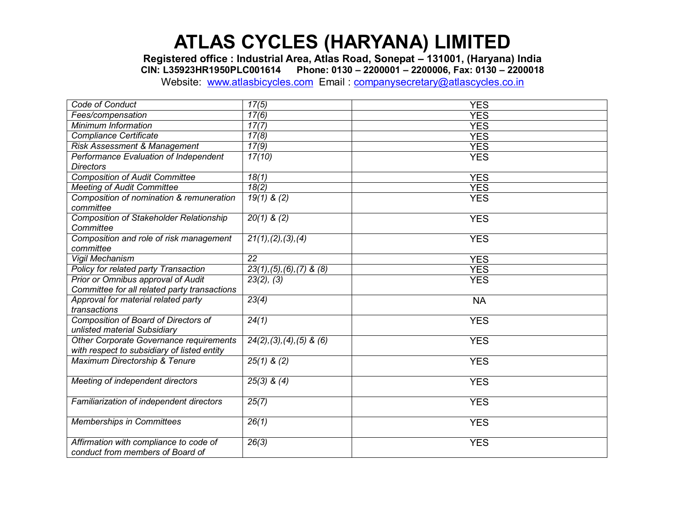**Registered office : Industrial Area, Atlas Road, Sonepat – 131001, (Haryana) India CIN: L35923HR1950PLC001614 Phone: 0130 – 2200001 – 2200006, Fax: 0130 – 2200018**

Website: [www.atlasbicycles.com](http://www.atlasbicycles.com/) Email : [companysecretary@atlascycles.co.in](mailto:companysecretary@atlascycles.co.in)

| Code of Conduct                                                                        | 17(5)                                    | <b>YES</b> |
|----------------------------------------------------------------------------------------|------------------------------------------|------------|
| Fees/compensation                                                                      | 17(6)                                    | <b>YES</b> |
| Minimum Information                                                                    | 17(7)                                    | <b>YES</b> |
| <b>Compliance Certificate</b>                                                          | 17(8)                                    | <b>YES</b> |
| <b>Risk Assessment &amp; Management</b>                                                | 17(9)                                    | <b>YES</b> |
| Performance Evaluation of Independent                                                  | 17(10)                                   | <b>YES</b> |
| <b>Directors</b>                                                                       |                                          |            |
| <b>Composition of Audit Committee</b>                                                  | 18(1)                                    | <b>YES</b> |
| <b>Meeting of Audit Committee</b>                                                      | 18(2)                                    | <b>YES</b> |
| Composition of nomination & remuneration<br>committee                                  | $19(1)$ & (2)                            | <b>YES</b> |
| <b>Composition of Stakeholder Relationship</b><br>Committee                            | $20(1)$ & (2)                            | <b>YES</b> |
| Composition and role of risk management<br>committee                                   | 21(1), (2), (3), (4)                     | <b>YES</b> |
| Vigil Mechanism                                                                        | 22                                       | <b>YES</b> |
| Policy for related party Transaction                                                   | $23(1), (5), (6), (7)$ & $(8)$           | <b>YES</b> |
| Prior or Omnibus approval of Audit<br>Committee for all related party transactions     | 23(2), (3)                               | <b>YES</b> |
| Approval for material related party<br>transactions                                    | 23(4)                                    | <b>NA</b>  |
| Composition of Board of Directors of<br>unlisted material Subsidiary                   | 24(1)                                    | <b>YES</b> |
| Other Corporate Governance requirements<br>with respect to subsidiary of listed entity | $\overline{24(2)}$ , (3), (4), (5) & (6) | <b>YES</b> |
| Maximum Directorship & Tenure                                                          | $25(1)$ & (2)                            | <b>YES</b> |
| Meeting of independent directors                                                       | $25(3)$ & $(4)$                          | <b>YES</b> |
| Familiarization of independent directors                                               | 25(7)                                    | <b>YES</b> |
| <b>Memberships in Committees</b>                                                       | 26(1)                                    | <b>YES</b> |
| Affirmation with compliance to code of<br>conduct from members of Board of             | 26(3)                                    | <b>YES</b> |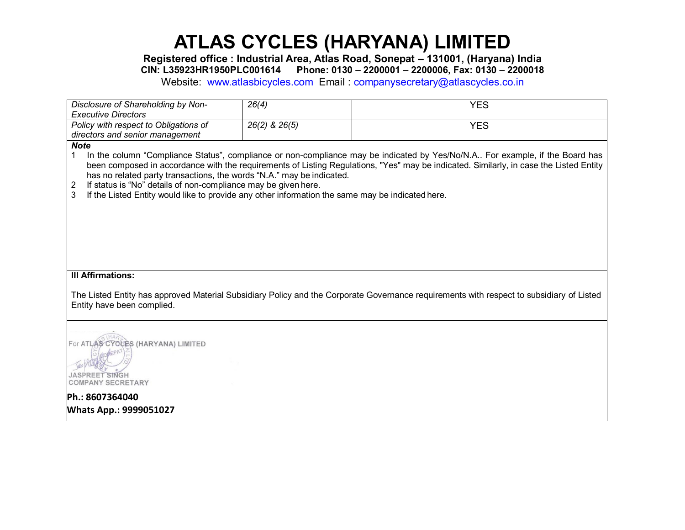**Registered office : Industrial Area, Atlas Road, Sonepat – 131001, (Haryana) India**

**CIN: L35923HR1950PLC001614 Phone: 0130 – 2200001 – 2200006, Fax: 0130 – 2200018**

Website: [www.atlasbicycles.com](http://www.atlasbicycles.com/) Email : [companysecretary@atlascycles.co.in](mailto:companysecretary@atlascycles.co.in)

| Disclosure of Shareholding by Non-<br><b>Executive Directors</b>                                                                                                                                                                                                                                                                                                                                                                                                                                                                                    | 26(4)             | <b>YES</b>                                                                                                                               |  |  |  |
|-----------------------------------------------------------------------------------------------------------------------------------------------------------------------------------------------------------------------------------------------------------------------------------------------------------------------------------------------------------------------------------------------------------------------------------------------------------------------------------------------------------------------------------------------------|-------------------|------------------------------------------------------------------------------------------------------------------------------------------|--|--|--|
| Policy with respect to Obligations of                                                                                                                                                                                                                                                                                                                                                                                                                                                                                                               | $26(2)$ & $26(5)$ | <b>YES</b>                                                                                                                               |  |  |  |
| directors and senior management                                                                                                                                                                                                                                                                                                                                                                                                                                                                                                                     |                   |                                                                                                                                          |  |  |  |
| <b>Note</b><br>In the column "Compliance Status", compliance or non-compliance may be indicated by Yes/No/N.A For example, if the Board has<br>1<br>been composed in accordance with the requirements of Listing Regulations, "Yes" may be indicated. Similarly, in case the Listed Entity<br>has no related party transactions, the words "N.A." may be indicated.<br>If status is "No" details of non-compliance may be given here.<br>2<br>3<br>If the Listed Entity would like to provide any other information the same may be indicated here. |                   |                                                                                                                                          |  |  |  |
| <b>III Affirmations:</b>                                                                                                                                                                                                                                                                                                                                                                                                                                                                                                                            |                   |                                                                                                                                          |  |  |  |
| Entity have been complied.                                                                                                                                                                                                                                                                                                                                                                                                                                                                                                                          |                   | The Listed Entity has approved Material Subsidiary Policy and the Corporate Governance requirements with respect to subsidiary of Listed |  |  |  |
| For ATLAS CYCLES (HARYANA) LIMITED<br>JASPREET SINGH<br><b>COMPANY SECRETARY</b>                                                                                                                                                                                                                                                                                                                                                                                                                                                                    |                   |                                                                                                                                          |  |  |  |
| Ph.: 8607364040                                                                                                                                                                                                                                                                                                                                                                                                                                                                                                                                     |                   |                                                                                                                                          |  |  |  |
| <b>Whats App.: 9999051027</b>                                                                                                                                                                                                                                                                                                                                                                                                                                                                                                                       |                   |                                                                                                                                          |  |  |  |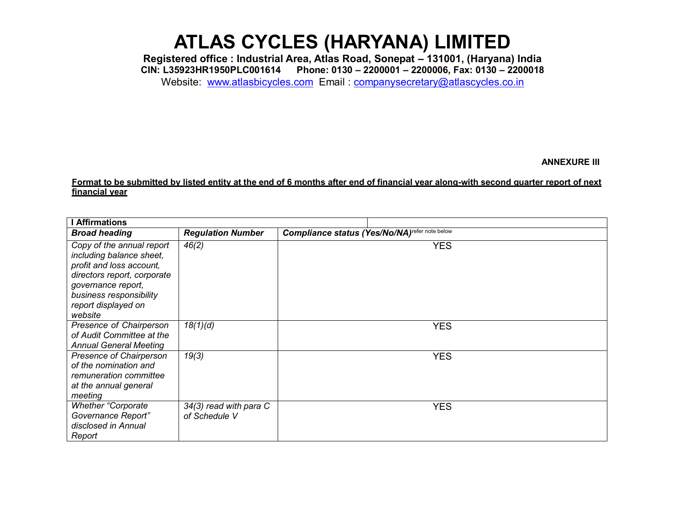**Registered office : Industrial Area, Atlas Road, Sonepat – 131001, (Haryana) India CIN: L35923HR1950PLC001614 Phone: 0130 – 2200001 – 2200006, Fax: 0130 – 2200018**

Website: [www.atlasbicycles.com](http://www.atlasbicycles.com/) Email : [companysecretary@atlascycles.co.in](mailto:companysecretary@atlascycles.co.in)

#### **ANNEXURE III**

#### **Format to be submitted by listed entity at the end of 6 months after end of financial year along-with second quarter report of next financial year**

| <b>Affirmations</b>                                                                                                                                                                                 |                                         |                                                           |
|-----------------------------------------------------------------------------------------------------------------------------------------------------------------------------------------------------|-----------------------------------------|-----------------------------------------------------------|
| <b>Broad heading</b>                                                                                                                                                                                | <b>Regulation Number</b>                | Compliance status (Yes/No/NA) <sup>refer note below</sup> |
| Copy of the annual report<br>including balance sheet,<br>profit and loss account,<br>directors report, corporate<br>governance report,<br>business responsibility<br>report displayed on<br>website | 46(2)                                   | <b>YES</b>                                                |
| Presence of Chairperson<br>of Audit Committee at the<br><b>Annual General Meeting</b>                                                                                                               | 18(1)(d)                                | <b>YES</b>                                                |
| Presence of Chairperson<br>of the nomination and<br>remuneration committee<br>at the annual general<br>meeting                                                                                      | 19(3)                                   | <b>YES</b>                                                |
| <b>Whether "Corporate</b><br>Governance Report"<br>disclosed in Annual<br>Report                                                                                                                    | 34(3) read with para C<br>of Schedule V | <b>YES</b>                                                |